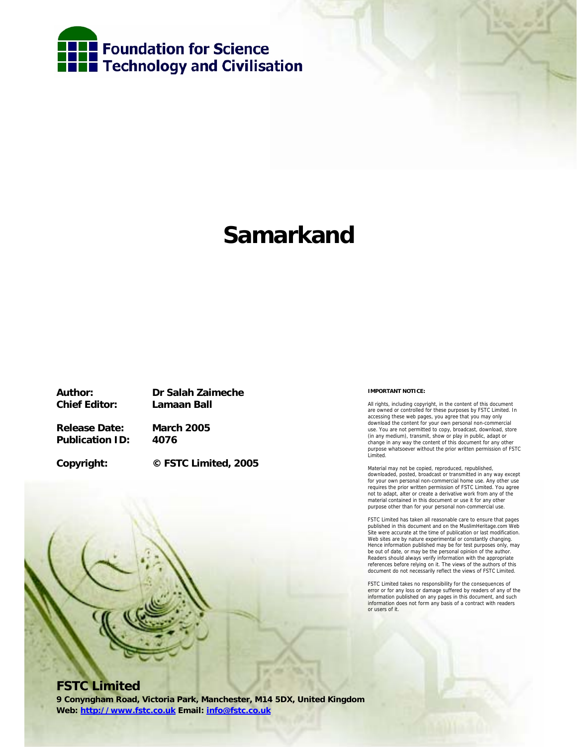

# **Samarkand**

**Chief Editor: Lamaan Ball** 

**Author: Dr Salah Zaimeche** 

**Release Date: March 2005 Publication ID: 4076** 

**Copyright: © FSTC Limited, 2005** 

#### **IMPORTANT NOTICE:**

All rights, including copyright, in the content of this document are owned or controlled for these purposes by FSTC Limited. In accessing these web pages, you agree that you may only download the content for your own personal non-commercial use. You are not permitted to copy, broadcast, download, store (in any medium), transmit, show or play in public, adapt or change in any way the content of this document for any other purpose whatsoever without the prior written permission of FSTC Limited.

Material may not be copied, reproduced, republished, downloaded, posted, broadcast or transmitted in any way except for your own personal non-commercial home use. Any other use requires the prior written permission of FSTC Limited. You agree not to adapt, alter or create a derivative work from any of the material contained in this document or use it for any other purpose other than for your personal non-commercial use.

FSTC Limited has taken all reasonable care to ensure that pages published in this document and on the MuslimHeritage.com Web Site were accurate at the time of publication or last modification. Web sites are by nature experimental or constantly changing. Hence information published may be for test purposes only, may be out of date, or may be the personal opinion of the author. Readers should always verify information with the appropriate references before relying on it. The views of the authors of this document do not necessarily reflect the views of FSTC Limited.

FSTC Limited takes no responsibility for the consequences of error or for any loss or damage suffered by readers of any of the information published on any pages in this document, and such information does not form any basis of a contract with readers or users of it.

## **FSTC Limited**

**9 Conyngham Road, Victoria Park, Manchester, M14 5DX, United Kingdom Web: http://www.fstc.co.uk Email: info@fstc.co.uk**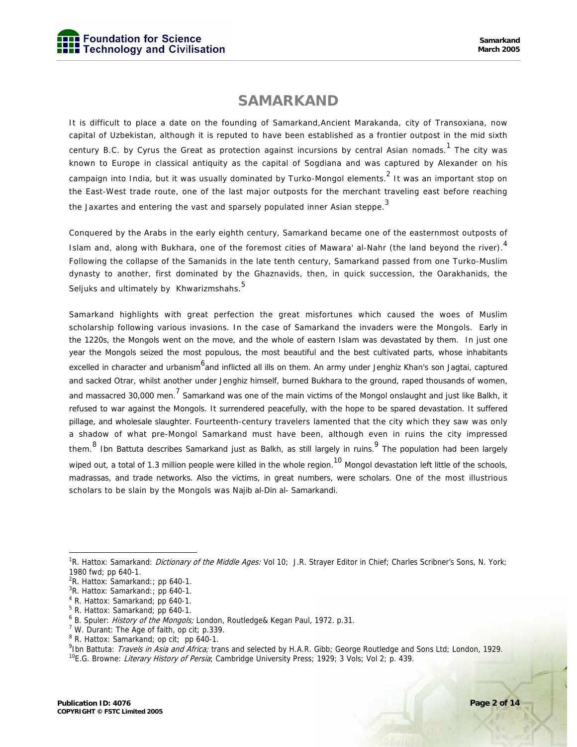## **SAMARKAND**

It is difficult to place a date on the founding of Samarkand,Ancient Marakanda, city of Transoxiana, now capital of Uzbekistan, although it is reputed to have been established as a frontier outpost in the mid sixth century B.C. by Cyrus the Great as protection against incursions by central Asian nomads.  $1$  The city was known to Europe in classical antiquity as the capital of Sogdiana and was captured by Alexander on his campaign into India, but it was usually dominated by Turko-Mongol elements. $^2$  It was an important stop on the East-West trade route, one of the last major outposts for the merchant traveling east before reaching the Jaxartes and entering the vast and sparsely populated inner Asian steppe.<sup>3</sup>

Conquered by the Arabs in the early eighth century, Samarkand became one of the easternmost outposts of Islam and, along with Bukhara, one of the foremost cities of Mawara' al-Nahr (the land beyond the river).<sup>4</sup> Following the collapse of the Samanids in the late tenth century, Samarkand passed from one Turko-Muslim dynasty to another, first dominated by the Ghaznavids, then, in quick succession, the Oarakhanids, the Seljuks and ultimately by Khwarizmshahs. <sup>5</sup>

Samarkand highlights with great perfection the great misfortunes which caused the woes of Muslim scholarship following various invasions. In the case of Samarkand the invaders were the Mongols. Early in the 1220s, the Mongols went on the move, and the whole of eastern Islam was devastated by them. In just one year the Mongols seized the most populous, the most beautiful and the best cultivated parts, whose inhabitants excelled in character and urbanism<sup>6</sup>and inflicted all ills on them. An army under Jenghiz Khan's son Jagtai, captured and sacked Otrar, whilst another under Jenghiz himself, burned Bukhara to the ground, raped thousands of women, and massacred 30,000 men.<sup>7</sup> Samarkand was one of the main victims of the Mongol onslaught and just like Balkh, it refused to war against the Mongols. It surrendered peacefully, with the hope to be spared devastation. It suffered pillage, and wholesale slaughter. Fourteenth-century travelers lamented that the city which they saw was only a shadow of what pre-Mongol Samarkand must have been, although even in ruins the city impressed them.<sup>8</sup> Ibn Battuta describes Samarkand just as Balkh, as still largely in ruins. <sup>9</sup> The population had been largely wiped out, a total of 1.3 million people were killed in the whole region.<sup>10</sup> Mongol devastation left little of the schools, madrassas, and trade networks. Also the victims, in great numbers, were scholars. One of the most illustrious scholars to be slain by the Mongols was Najib al-Din al- Samarkandi.

<sup>&</sup>lt;sup>1</sup>R. Hattox: Samarkand: *Dictionary of the Middle Ages:* Vol 10; J.R. Strayer Editor in Chief; Charles Scribner's Sons, N. York; 1980 fwd; pp 640-1.

 ${}^{2}R$ . Hattox: Samarkand:; pp 640-1.

 ${}^{3}R$ . Hattox: Samarkand:; pp 640-1.

<sup>4</sup> R. Hattox: Samarkand; pp 640-1.

<sup>5</sup> R. Hattox: Samarkand; pp 640-1.

<sup>&</sup>lt;sup>6</sup> B. Spuler: *History of the Mongols;* London, Routledge& Kegan Paul, 1972. p.31.<br><sup>7</sup> W. Durant: The Age of faith, op cit: p.320.

<sup>&</sup>lt;sup>7</sup> W. Durant: The Age of faith, op cit; p.339.

<sup>8</sup> R. Hattox: Samarkand; op cit; pp 640-1.

<sup>&</sup>lt;sup>9</sup>lbn Battuta: *Travels in Asia and Africa;* trans and selected by H.A.R. Gibb; George Routledge and Sons Ltd; London, 1929.<br><sup>10</sup>E.G. Browne: *Literary History of Persia*; Cambridge University Press; 1929; 3 Vols; Vol 2;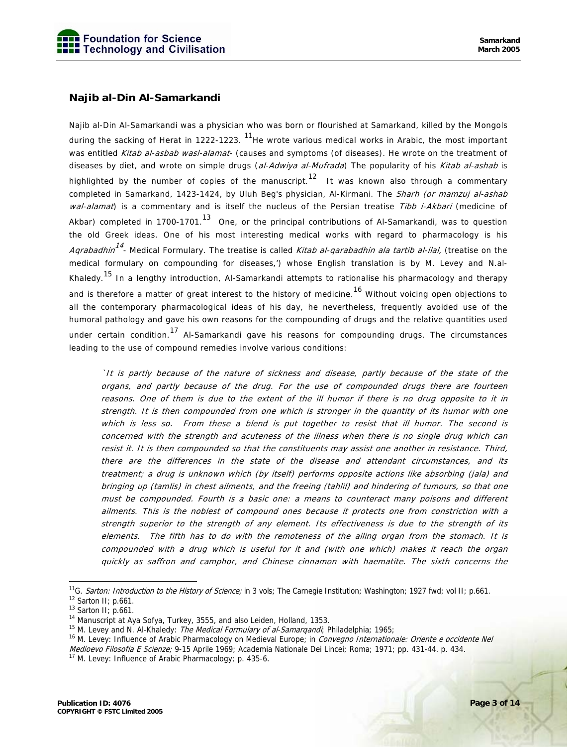### **Najib al-Din Al-Samarkandi**

Najib al-Din Al-Samarkandi was a physician who was born or flourished at Samarkand, killed by the Mongols during the sacking of Herat in 1222-1223. <sup>11</sup>He wrote various medical works in Arabic, the most important was entitled Kitab al-asbab wasl-alamat- (causes and symptoms (of diseases). He wrote on the treatment of diseases by diet, and wrote on simple drugs (al-Adwiya al-Mufrada) The popularity of his Kitab al-ashab is highlighted by the number of copies of the manuscript.<sup>12</sup> It was known also through a commentary completed in Samarkand, 1423-1424, by Uluh Beg's physician, Al-Kirmani. The Sharh (or mamzuj al-ashab wal-alamat) is a commentary and is itself the nucleus of the Persian treatise Tibb i-Akbari (medicine of Akbar) completed in 1700-1701.<sup>13</sup> One, or the principal contributions of Al-Samarkandi, was to question the old Greek ideas. One of his most interesting medical works with regard to pharmacology is his Aqrabadhin<sup>14</sup> - Medical Formulary. The treatise is called *Kitab al-qarabadhin ala tartib al-ilal*, (treatise on the medical formulary on compounding for diseases,') whose English translation is by M. Levey and N.al-Khaledy.<sup>15</sup> In a lengthy introduction, Al-Samarkandi attempts to rationalise his pharmacology and therapy and is therefore a matter of great interest to the history of medicine.<sup>16</sup> Without voicing open objections to all the contemporary pharmacological ideas of his day, he nevertheless, frequently avoided use of the humoral pathology and gave his own reasons for the compounding of drugs and the relative quantities used under certain condition.<sup>17</sup> Al-Samarkandi gave his reasons for compounding drugs. The circumstances leading to the use of compound remedies involve various conditions:

`It is partly because of the nature of sickness and disease, partly because of the state of the organs, and partly because of the drug. For the use of compounded drugs there are fourteen reasons. One of them is due to the extent of the ill humor if there is no drug opposite to it in strength. It is then compounded from one which is stronger in the quantity of its humor with one which is less so. From these a blend is put together to resist that ill humor. The second is concerned with the strength and acuteness of the illness when there is no single drug which can resist it. It is then compounded so that the constituents may assist one another in resistance. Third, there are the differences in the state of the disease and attendant circumstances, and its treatment; a drug is unknown which (by itself) performs opposite actions like absorbing (jala) and bringing up (tamlis) in chest ailments, and the freeing (tahlil) and hindering of tumours, so that one must be compounded. Fourth is a basic one: a means to counteract many poisons and different ailments. This is the noblest of compound ones because it protects one from constriction with a strength superior to the strength of any element. Its effectiveness is due to the strength of its elements. The fifth has to do with the remoteness of the ailing organ from the stomach. It is compounded with a drug which is useful for it and (with one which) makes it reach the organ quickly as saffron and camphor, and Chinese cinnamon with haematite. The sixth concerns the

<sup>&</sup>lt;sup>11</sup>G. *Sarton: Introduction to the History of Science;* in 3 vols; The Carnegie Institution; Washington; 1927 fwd; vol II; p.661.<br><sup>12</sup> Sarton II; p.661.

<sup>13</sup> Sarton II; p.661.

<sup>&</sup>lt;sup>14</sup> Manuscript at Aya Sofya, Turkey, 3555, and also Leiden, Holland, 1353.<br><sup>15</sup> M. Levey and N. Al-Khaledy: *The Medical Formulary of al-Samarqandi*; Philadelphia; 1965;

<sup>&</sup>lt;sup>16</sup> M. Levey: Influence of Arabic Pharmacology on Medieval Europe; in Convegno Internationale: Oriente e occidente Nel Medioevo Filosofia E Scienze; 9-15 Aprile 1969; Academia Nationale Dei Lincei; Roma; 1971; pp. 431-44. p. 434.<br><sup>17</sup> M. Levey: Influence of Arabic Pharmacology; p. 435-6.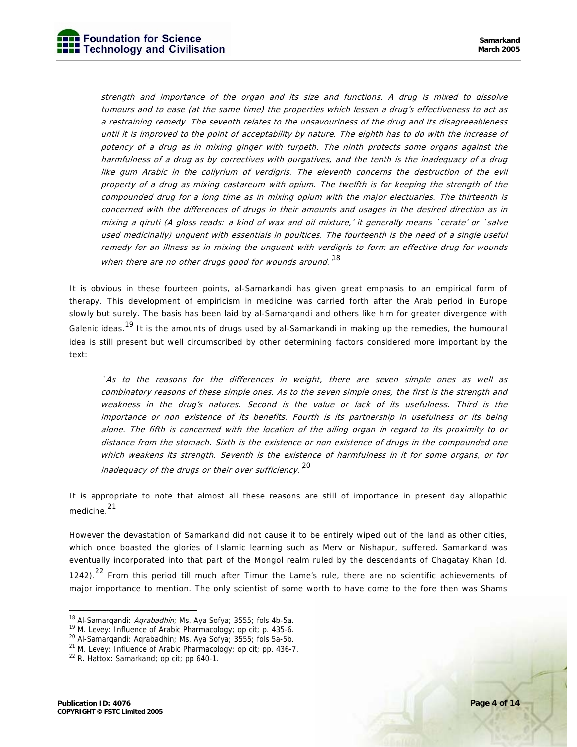strength and importance of the organ and its size and functions. A drug is mixed to dissolve tumours and to ease (at the same time) the properties which lessen a drug's effectiveness to act as a restraining remedy. The seventh relates to the unsavouriness of the drug and its disagreeableness until it is improved to the point of acceptability by nature. The eighth has to do with the increase of potency of a drug as in mixing ginger with turpeth. The ninth protects some organs against the harmfulness of a drug as by correctives with purgatives, and the tenth is the inadequacy of a drug like gum Arabic in the collyrium of verdigris. The eleventh concerns the destruction of the evil property of a drug as mixing castareum with opium. The twelfth is for keeping the strength of the compounded drug for a long time as in mixing opium with the major electuaries. The thirteenth is concerned with the differences of drugs in their amounts and usages in the desired direction as in mixing a qiruti (A gloss reads: a kind of wax and oil mixture,' it generally means `cerate' or `salve used medicinally) unguent with essentials in poultices. The fourteenth is the need of a single useful remedy for an illness as in mixing the unguent with verdigris to form an effective drug for wounds when there are no other drugs good for wounds around.  $^{18}$ 

It is obvious in these fourteen points, al-Samarkandi has given great emphasis to an empirical form of therapy. This development of empiricism in medicine was carried forth after the Arab period in Europe slowly but surely. The basis has been laid by al-Samarqandi and others like him for greater divergence with Galenic ideas.<sup>19</sup> It is the amounts of drugs used by al-Samarkandi in making up the remedies, the humoural idea is still present but well circumscribed by other determining factors considered more important by the text:

`As to the reasons for the differences in weight, there are seven simple ones as well as combinatory reasons of these simple ones. As to the seven simple ones, the first is the strength and weakness in the drug's natures. Second is the value or lack of its usefulness. Third is the importance or non existence of its benefits. Fourth is its partnership in usefulness or its being alone. The fifth is concerned with the location of the ailing organ in regard to its proximity to or distance from the stomach. Sixth is the existence or non existence of drugs in the compounded one which weakens its strength. Seventh is the existence of harmfulness in it for some organs, or for inadequacy of the drugs or their over sufficiency.<sup>20</sup>

It is appropriate to note that almost all these reasons are still of importance in present day allopathic medicine.<sup>21</sup>

However the devastation of Samarkand did not cause it to be entirely wiped out of the land as other cities, which once boasted the glories of Islamic learning such as Merv or Nishapur, suffered. Samarkand was eventually incorporated into that part of the Mongol realm ruled by the descendants of Chagatay Khan (d. 1242).<sup>22</sup> From this period till much after Timur the Lame's rule, there are no scientific achievements of major importance to mention. The only scientist of some worth to have come to the fore then was Shams

<sup>&</sup>lt;sup>18</sup> Al-Samarqandi: *Aqrabadhin*; Ms. Aya Sofya; 3555; fols 4b-5a.<br><sup>19</sup> M. Levey: Influence of Arabic Pharmacology; op cit; p. 435-6.

<sup>20</sup> Al-Samarqandi: Aqrabadhin; Ms. Aya Sofya; 3555; fols 5a-5b.

<sup>21</sup> M. Levey: Influence of Arabic Pharmacology; op cit; pp. 436-7.

 $22$  R. Hattox: Samarkand; op cit; pp 640-1.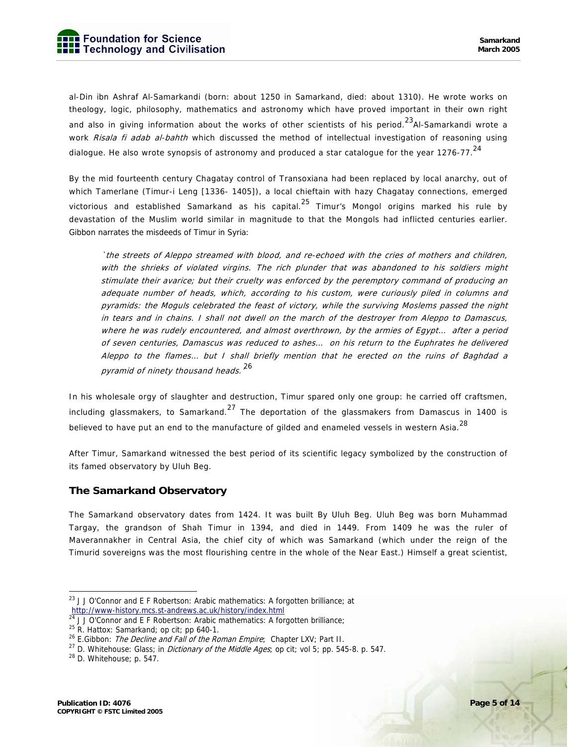al-Din ibn Ashraf Al-Samarkandi (born: about 1250 in Samarkand, died: about 1310). He wrote works on theology, logic, philosophy, mathematics and astronomy which have proved important in their own right and also in giving information about the works of other scientists of his period.<sup>23</sup>Al-Samarkandi wrote a work Risala fi adab al-bahth which discussed the method of intellectual investigation of reasoning using dialogue. He also wrote synopsis of astronomy and produced a star catalogue for the year 1276-77.  $^{24}$ 

By the mid fourteenth century Chagatay control of Transoxiana had been replaced by local anarchy, out of which Tamerlane (Timur-i Leng [1336- 1405]), a local chieftain with hazy Chagatay connections, emerged victorious and established Samarkand as his capital.<sup>25</sup> Timur's Mongol origins marked his rule by devastation of the Muslim world similar in magnitude to that the Mongols had inflicted centuries earlier. Gibbon narrates the misdeeds of Timur in Syria:

`the streets of Aleppo streamed with blood, and re-echoed with the cries of mothers and children, with the shrieks of violated virgins. The rich plunder that was abandoned to his soldiers might stimulate their avarice; but their cruelty was enforced by the peremptory command of producing an adequate number of heads, which, according to his custom, were curiously piled in columns and pyramids: the Moguls celebrated the feast of victory, while the surviving Moslems passed the night in tears and in chains. I shall not dwell on the march of the destroyer from Aleppo to Damascus, where he was rudely encountered, and almost overthrown, by the armies of Egypt… after a period of seven centuries, Damascus was reduced to ashes… on his return to the Euphrates he delivered Aleppo to the flames… but I shall briefly mention that he erected on the ruins of Baghdad a pyramid of ninety thousand heads.<sup>26</sup>

In his wholesale orgy of slaughter and destruction, Timur spared only one group: he carried off craftsmen, including glassmakers, to Samarkand.<sup>27</sup> The deportation of the glassmakers from Damascus in 1400 is believed to have put an end to the manufacture of gilded and enameled vessels in western Asia. $^{28}$ 

After Timur, Samarkand witnessed the best period of its scientific legacy symbolized by the construction of its famed observatory by Uluh Beg.

#### **The Samarkand Observatory**

The Samarkand observatory dates from 1424. It was built By Uluh Beg. Uluh Beg was born Muhammad Targay, the grandson of Shah Timur in 1394, and died in 1449. From 1409 he was the ruler of Maverannakher in Central Asia, the chief city of which was Samarkand (which under the reign of the Timurid sovereigns was the most flourishing centre in the whole of the Near East.) Himself a great scientist,

<sup>-</sup><sup>23</sup> J J O'Connor and E F Robertson: Arabic mathematics: A forgotten brilliance: at http://www-history.mcs.st-andrews.ac.uk/history/index.html<br><sup>24</sup> J J O'Connor and E F Robertson: Arabic mathematics: A forgotten brilliance;

<sup>&</sup>lt;sup>25</sup> R. Hattox: Samarkand; op cit; pp 640-1.<br><sup>26</sup> E.Gibbon: *The Decline and Fall of the Roman Empire*; Chapter LXV; Part II.

<sup>&</sup>lt;sup>27</sup> D. Whitehouse: Glass; in *Dictionary of the Middle Ages*; op cit; vol 5; pp. 545-8. p. 547. <sup>28</sup> D. Whitehouse; p. 547.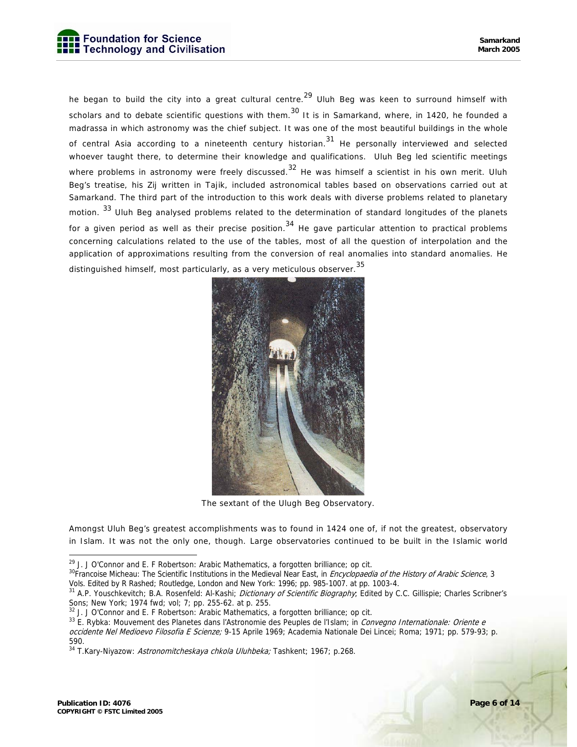he began to build the city into a great cultural centre.<sup>29</sup> Uluh Beg was keen to surround himself with scholars and to debate scientific questions with them.<sup>30</sup> It is in Samarkand, where, in 1420, he founded a madrassa in which astronomy was the chief subject. It was one of the most beautiful buildings in the whole of central Asia according to a nineteenth century historian.<sup>31</sup> He personally interviewed and selected whoever taught there, to determine their knowledge and qualifications. Uluh Beg led scientific meetings where problems in astronomy were freely discussed.<sup>32</sup> He was himself a scientist in his own merit. Uluh Beg's treatise, his Zij written in Tajik, included astronomical tables based on observations carried out at Samarkand. The third part of the introduction to this work deals with diverse problems related to planetary motion. <sup>33</sup> Uluh Beg analysed problems related to the determination of standard longitudes of the planets for a given period as well as their precise position.<sup>34</sup> He gave particular attention to practical problems concerning calculations related to the use of the tables, most of all the question of interpolation and the application of approximations resulting from the conversion of real anomalies into standard anomalies. He distinguished himself, most particularly, as a very meticulous observer.<sup>35</sup>



The sextant of the Ulugh Beg Observatory.

Amongst Uluh Beg's greatest accomplishments was to found in 1424 one of, if not the greatest, observatory in Islam. It was not the only one, though. Large observatories continued to be built in the Islamic world

<sup>&</sup>lt;sup>29</sup> J. J O'Connor and E. F Robertson: Arabic Mathematics, a forgotten brilliance; op cit.<br><sup>30</sup>Francoise Micheau: The Scientific Institutions in the Medieval Near East, in *Encyclopaedia of the History of Arabic Science*, Vols. Edited by R Rashed; Routledge, London and New York: 1996; pp. 985-1007. at pp. 1003-4.

<sup>&</sup>lt;sup>31</sup> A.P. Youschkevitch; B.A. Rosenfeld: Al-Kashi; *Dictionary of Scientific Biography*; Edited by C.C. Gillispie; Charles Scribner's Sons; New York; 1974 fwd; vol; 7; pp. 255-62. at p. 255.<br><sup>32</sup> J. J O'Connor and E. F Robertson: Arabic Mathematics, a forgotten brilliance; op cit.

<sup>&</sup>lt;sup>33</sup> E. Rybka: Mouvement des Planetes dans l'Astronomie des Peuples de l'Islam; in Convegno Internationale: Oriente e occidente Nel Medioevo Filosofia E Scienze; 9-15 Aprile 1969; Academia Nationale Dei Lincei; Roma; 1971; pp. 579-93; p. 590.

<sup>&</sup>lt;sup>34</sup> T.Kary-Niyazow: Astronomitcheskaya chkola Uluhbeka; Tashkent; 1967; p.268.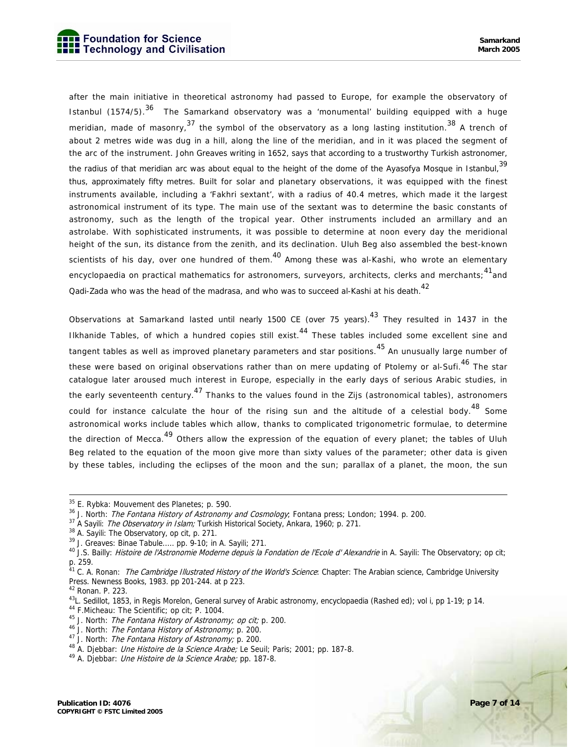after the main initiative in theoretical astronomy had passed to Europe, for example the observatory of Istanbul (1574/5).<sup>36</sup> The Samarkand observatory was a 'monumental' building equipped with a huge meridian, made of masonry.<sup>37</sup> the symbol of the observatory as a long lasting institution.<sup>38</sup> A trench of about 2 metres wide was dug in a hill, along the line of the meridian, and in it was placed the segment of the arc of the instrument. John Greaves writing in 1652, says that according to a trustworthy Turkish astronomer, the radius of that meridian arc was about equal to the height of the dome of the Ayasofya Mosque in Istanbul,<sup>39</sup> thus, approximately fifty metres. Built for solar and planetary observations, it was equipped with the finest instruments available, including a 'Fakhri sextant', with a radius of 40.4 metres, which made it the largest astronomical instrument of its type. The main use of the sextant was to determine the basic constants of astronomy, such as the length of the tropical year. Other instruments included an armillary and an astrolabe. With sophisticated instruments, it was possible to determine at noon every day the meridional height of the sun, its distance from the zenith, and its declination. Uluh Beg also assembled the best-known scientists of his day, over one hundred of them.<sup>40</sup> Among these was al-Kashi, who wrote an elementary encyclopaedia on practical mathematics for astronomers, surveyors, architects, clerks and merchants;<sup>41</sup>and Qadi-Zada who was the head of the madrasa, and who was to succeed al-Kashi at his death.<sup>42</sup>

Observations at Samarkand lasted until nearly 1500 CE (over 75 years).<sup>43</sup> They resulted in 1437 in the Ilkhanide Tables, of which a hundred copies still exist.<sup>44</sup> These tables included some excellent sine and tangent tables as well as improved planetary parameters and star positions. <sup>45</sup> An unusually large number of these were based on original observations rather than on mere updating of Ptolemy or al-Sufi.<sup>46</sup> The star catalogue later aroused much interest in Europe, especially in the early days of serious Arabic studies, in the early seventeenth century.<sup>47</sup> Thanks to the values found in the Zijs (astronomical tables), astronomers could for instance calculate the hour of the rising sun and the altitude of a celestial body.<sup>48</sup> Some astronomical works include tables which allow, thanks to complicated trigonometric formulae, to determine the direction of Mecca.<sup>49</sup> Others allow the expression of the equation of every planet; the tables of Uluh Beg related to the equation of the moon give more than sixty values of the parameter; other data is given by these tables, including the eclipses of the moon and the sun; parallax of a planet, the moon, the sun

 <sup>35</sup> E. Rybka: Mouvement des Planetes; p. 590.

<sup>&</sup>lt;sup>36</sup> J. North: *The Fontana History of Astronomy and Cosmology*; Fontana press; London; 1994. p. 200.<br><sup>37</sup> A Sayili: *The Observatory in Islam;* Turkish Historical Society, Ankara, 1960; p. 271.<br><sup>38</sup> A. Sayili: The Observa

 $39$  J. Greaves: Binae Tabule..... pp. 9-10; in A. Sayili; 271.

<sup>&</sup>lt;sup>40</sup> J.S. Bailly: Histoire de l'Astronomie Moderne depuis la Fondation de l'Ecole d' Alexandrie in A. Sayili: The Observatory; op cit; p. 259.

<sup>&</sup>lt;sup>41</sup> C. A. Ronan: *The Cambridge Illustrated History of the World's Science*: Chapter: The Arabian science, Cambridge University Press. Newness Books, 1983. pp 201-244. at p 223.

<sup>42</sup> Ronan. P. 223.

<sup>&</sup>lt;sup>43</sup>L. Sedillot, 1853, in Regis Morelon, General survey of Arabic astronomy, encyclopaedia (Rashed ed); vol i, pp 1-19; p 14.

<sup>&</sup>lt;sup>44</sup> F.Micheau: The Scientific; op cit; P. 1004.<br><sup>45</sup> J. North: *The Fontana History of Astronomy; op cit;* p. 200.

<sup>&</sup>lt;sup>46</sup> J. North: *The Fontana History of Astronomy;* p. 200.<br><sup>47</sup> J. North: *The Fontana History of Astronomy;* p. 200.<br><sup>48</sup> A. Djebbar: *Une Histoire de la Science Arabe;* Le Seuil; Paris; 2001; pp. 187-8.<br><sup>49</sup> A. Djebbar: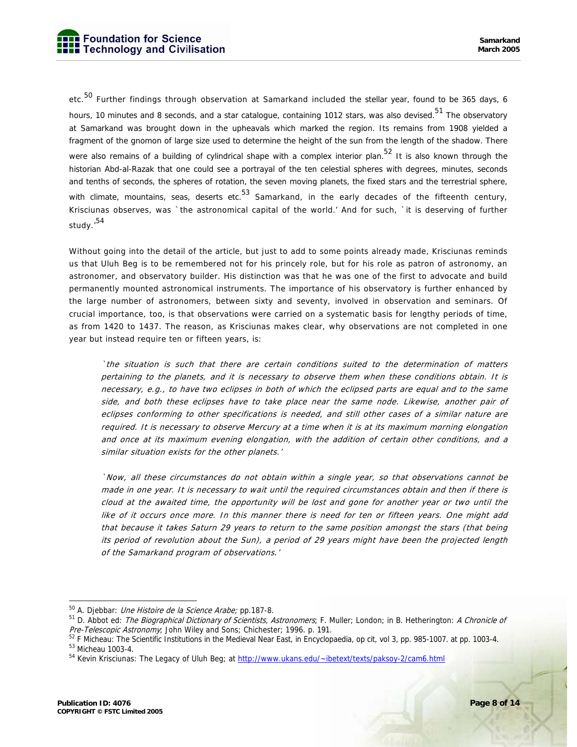etc.<sup>50</sup> Further findings through observation at Samarkand included the stellar year, found to be 365 days, 6 hours, 10 minutes and 8 seconds, and a star catalogue, containing 1012 stars, was also devised.<sup>51</sup> The observatory at Samarkand was brought down in the upheavals which marked the region. Its remains from 1908 yielded a fragment of the gnomon of large size used to determine the height of the sun from the length of the shadow. There were also remains of a building of cylindrical shape with a complex interior plan.<sup>52</sup> It is also known through the historian Abd-al-Razak that one could see a portrayal of the ten celestial spheres with degrees, minutes, seconds and tenths of seconds, the spheres of rotation, the seven moving planets, the fixed stars and the terrestrial sphere, with climate, mountains, seas, deserts etc.  $53$  Samarkand, in the early decades of the fifteenth century, Krisciunas observes, was `the astronomical capital of the world.' And for such, `it is deserving of further study.'<sup>54</sup>

Without going into the detail of the article, but just to add to some points already made, Krisciunas reminds us that Uluh Beg is to be remembered not for his princely role, but for his role as patron of astronomy, an astronomer, and observatory builder. His distinction was that he was one of the first to advocate and build permanently mounted astronomical instruments. The importance of his observatory is further enhanced by the large number of astronomers, between sixty and seventy, involved in observation and seminars. Of crucial importance, too, is that observations were carried on a systematic basis for lengthy periods of time, as from 1420 to 1437. The reason, as Krisciunas makes clear, why observations are not completed in one year but instead require ten or fifteen years, is:

`the situation is such that there are certain conditions suited to the determination of matters pertaining to the planets, and it is necessary to observe them when these conditions obtain. It is necessary, e.g., to have two eclipses in both of which the eclipsed parts are equal and to the same side, and both these eclipses have to take place near the same node. Likewise, another pair of eclipses conforming to other specifications is needed, and still other cases of a similar nature are required. It is necessary to observe Mercury at a time when it is at its maximum morning elongation and once at its maximum evening elongation, with the addition of certain other conditions, and a similar situation exists for the other planets.'

`Now, all these circumstances do not obtain within a single year, so that observations cannot be made in one year. It is necessary to wait until the required circumstances obtain and then if there is cloud at the awaited time, the opportunity will be lost and gone for another year or two until the like of it occurs once more. In this manner there is need for ten or fifteen years. One might add that because it takes Saturn 29 years to return to the same position amongst the stars (that being its period of revolution about the Sun), a period of 29 years might have been the projected length of the Samarkand program of observations.'

<sup>&</sup>lt;sup>50</sup> A. Djebbar: *Une Histoire de la Science Arabe;* pp.187-8.<br><sup>51</sup> D. Abbot ed: *The Biographical Dictionary of Scientists, Astronomers*; F. Muller; London; in B. Hetherington: *A Chronicle of*<br>*Pre-Telescopic Astronomy*;

 $52$  F Micheau: The Scientific Institutions in the Medieval Near East, in Encyclopaedia, op cit, vol 3, pp. 985-1007. at pp. 1003-4.  $53$  Micheau 1003-4.

<sup>&</sup>lt;sup>54</sup> Kevin Krisciunas: The Legacy of Uluh Beg; at http://www.ukans.edu/~ibetext/texts/paksoy-2/cam6.html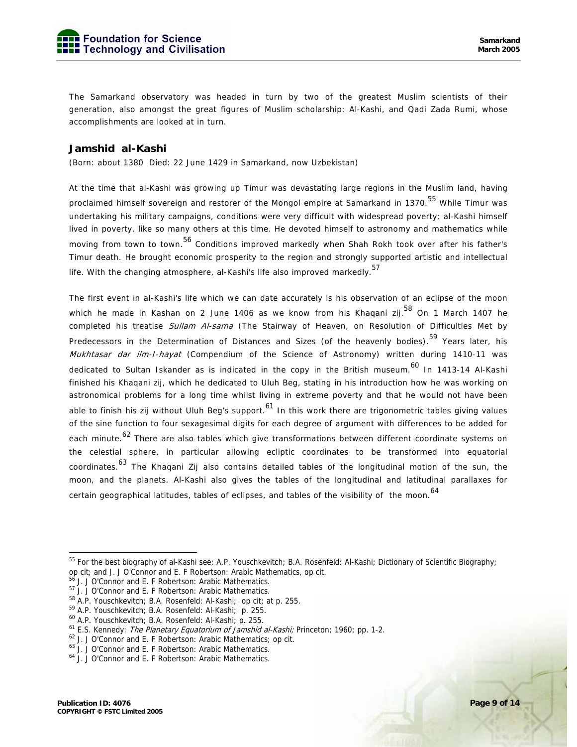The Samarkand observatory was headed in turn by two of the greatest Muslim scientists of their generation, also amongst the great figures of Muslim scholarship: Al-Kashi, and Qadi Zada Rumi, whose accomplishments are looked at in turn.

#### **Jamshid al-Kashi**

(Born: about 1380 Died: 22 June 1429 in Samarkand, now Uzbekistan)

At the time that al-Kashi was growing up Timur was devastating large regions in the Muslim land, having proclaimed himself sovereign and restorer of the Mongol empire at Samarkand in 1370.<sup>55</sup> While Timur was undertaking his military campaigns, conditions were very difficult with widespread poverty; al-Kashi himself lived in poverty, like so many others at this time. He devoted himself to astronomy and mathematics while moving from town to town.<sup>56</sup> Conditions improved markedly when Shah Rokh took over after his father's Timur death. He brought economic prosperity to the region and strongly supported artistic and intellectual life. With the changing atmosphere, al-Kashi's life also improved markedly.<sup>57</sup>

The first event in al-Kashi's life which we can date accurately is his observation of an eclipse of the moon which he made in Kashan on 2 June 1406 as we know from his Khaqani zij.<sup>58</sup> On 1 March 1407 he completed his treatise Sullam Al-sama (The Stairway of Heaven, on Resolution of Difficulties Met by Predecessors in the Determination of Distances and Sizes (of the heavenly bodies).<sup>59</sup> Years later, his Mukhtasar dar ilm-I-hayat (Compendium of the Science of Astronomy) written during 1410-11 was dedicated to Sultan Iskander as is indicated in the copy in the British museum.<sup>60</sup> In 1413-14 Al-Kashi finished his Khaqani zij, which he dedicated to Uluh Beg, stating in his introduction how he was working on astronomical problems for a long time whilst living in extreme poverty and that he would not have been able to finish his zij without Uluh Beg's support.<sup>61</sup> In this work there are trigonometric tables giving values of the sine function to four sexagesimal digits for each degree of argument with differences to be added for each minute.<sup>62</sup> There are also tables which give transformations between different coordinate systems on the celestial sphere, in particular allowing ecliptic coordinates to be transformed into equatorial coordinates.<sup>63</sup> The Khaqani Zij also contains detailed tables of the longitudinal motion of the sun, the moon, and the planets. Al-Kashi also gives the tables of the longitudinal and latitudinal parallaxes for certain geographical latitudes, tables of eclipses, and tables of the visibility of the moon.<sup>64</sup>

60 A.P. Youschkevitch; B.A. Rosenfeld: Al-Kashi; p. 255.

<sup>&</sup>lt;sup>55</sup> For the best biography of al-Kashi see: A.P. Youschkevitch; B.A. Rosenfeld: Al-Kashi; Dictionary of Scientific Biography; op cit; and J. J O'Connor and E. F Robertson: Arabic Mathematics, op cit. 56 J. J O'Connor and E. F Robertson: Arabic Mathematics.

<sup>57</sup> J. J O'Connor and E. F Robertson: Arabic Mathematics.

<sup>58</sup> A.P. Youschkevitch; B.A. Rosenfeld: Al-Kashi; op cit; at p. 255.

<sup>59</sup> A.P. Youschkevitch; B.A. Rosenfeld: Al-Kashi; p. 255.

<sup>&</sup>lt;sup>61</sup> E.S. Kennedy: *The Planetary Equatorium of Jamshid al-Kashi;* Princeton; 1960; pp. 1-2.  $^{62}$  J. J O'Connor and E. F Robertson: Arabic Mathematics; op cit.

<sup>63</sup> J. J O'Connor and E. F Robertson: Arabic Mathematics.

<sup>64</sup> J. J O'Connor and E. F Robertson: Arabic Mathematics.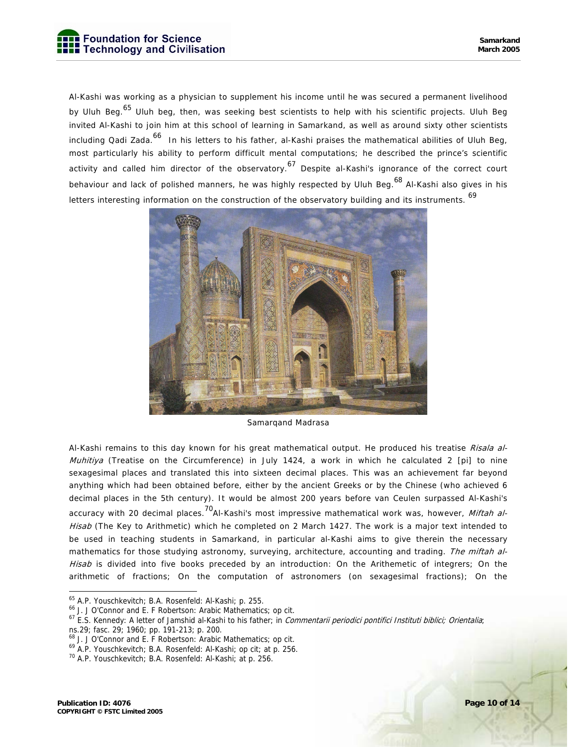Al-Kashi was working as a physician to supplement his income until he was secured a permanent livelihood by Uluh Beg.<sup>65</sup> Uluh beg, then, was seeking best scientists to help with his scientific projects. Uluh Beg invited Al-Kashi to join him at this school of learning in Samarkand, as well as around sixty other scientists including Qadi Zada.<sup>66</sup> In his letters to his father, al-Kashi praises the mathematical abilities of Uluh Beg, most particularly his ability to perform difficult mental computations; he described the prince's scientific activity and called him director of the observatory.<sup>67</sup> Despite al-Kashi's ignorance of the correct court behaviour and lack of polished manners, he was highly respected by Uluh Beg.<sup>68</sup> Al-Kashi also gives in his letters interesting information on the construction of the observatory building and its instruments. <sup>69</sup>



Samarqand Madrasa

Al-Kashi remains to this day known for his great mathematical output. He produced his treatise *Risala al-Muhitiya* (Treatise on the Circumference) in July 1424, a work in which he calculated 2 [pi] to nine sexagesimal places and translated this into sixteen decimal places. This was an achievement far beyond anything which had been obtained before, either by the ancient Greeks or by the Chinese (who achieved 6 decimal places in the 5th century). It would be almost 200 years before van Ceulen surpassed Al-Kashi's accuracy with 20 decimal places.<sup>70</sup>Al-Kashi's most impressive mathematical work was, however, *Miftah al-*Hisab (The Key to Arithmetic) which he completed on 2 March 1427. The work is a major text intended to be used in teaching students in Samarkand, in particular al-Kashi aims to give therein the necessary mathematics for those studying astronomy, surveying, architecture, accounting and trading. The miftah al-Hisab is divided into five books preceded by an introduction: On the Arithemetic of integrers; On the arithmetic of fractions; On the computation of astronomers (on sexagesimal fractions); On the

ns.29; fasc. 29; 1960; pp. 191-213; p. 200.

<sup>65</sup> A.P. Youschkevitch; B.A. Rosenfeld: Al-Kashi; p. 255.

<sup>66</sup> J. J O'Connor and E. F Robertson: Arabic Mathematics; op cit.

<sup>&</sup>lt;sup>67</sup> E.S. Kennedy: A letter of Jamshid al-Kashi to his father; in Commentarii periodici pontifici Instituti biblici; Orientalia;

<sup>68</sup> J. J O'Connor and E. F Robertson: Arabic Mathematics; op cit.

<sup>69</sup> A.P. Youschkevitch; B.A. Rosenfeld: Al-Kashi; op cit; at p. 256.

<sup>70</sup> A.P. Youschkevitch; B.A. Rosenfeld: Al-Kashi; at p. 256.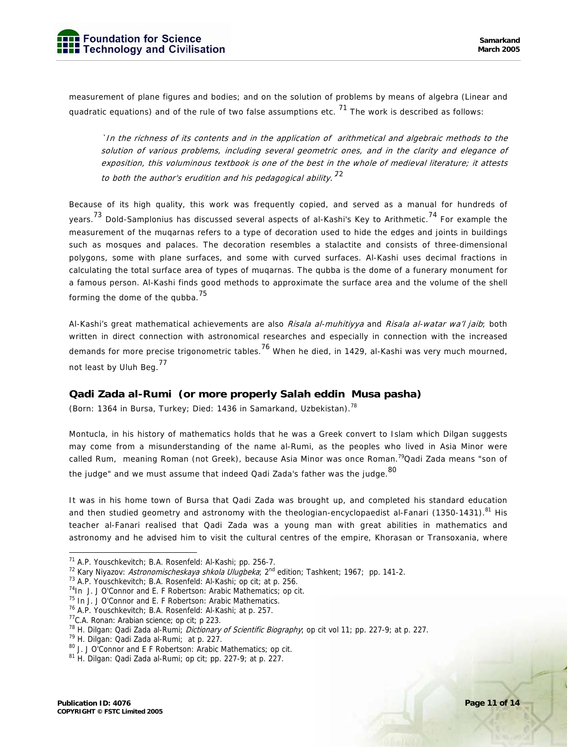measurement of plane figures and bodies; and on the solution of problems by means of algebra (Linear and quadratic equations) and of the rule of two false assumptions etc.  $^{71}$  The work is described as follows:

`In the richness of its contents and in the application of arithmetical and algebraic methods to the solution of various problems, including several geometric ones, and in the clarity and elegance of exposition, this voluminous textbook is one of the best in the whole of medieval literature; it attests to both the author's erudition and his pedagogical ability.  $^{72}$ 

Because of its high quality, this work was frequently copied, and served as a manual for hundreds of years.<sup>73</sup> Dold-Samplonius has discussed several aspects of al-Kashi's Key to Arithmetic.<sup>74</sup> For example the measurement of the muqarnas refers to a type of decoration used to hide the edges and joints in buildings such as mosques and palaces. The decoration resembles a stalactite and consists of three-dimensional polygons, some with plane surfaces, and some with curved surfaces. Al-Kashi uses decimal fractions in calculating the total surface area of types of muqarnas. The qubba is the dome of a funerary monument for a famous person. Al-Kashi finds good methods to approximate the surface area and the volume of the shell forming the dome of the qubba. $^{75}$ 

Al-Kashi's great mathematical achievements are also Risala al-muhitiyya and Risala al-watar wa'l jaib; both written in direct connection with astronomical researches and especially in connection with the increased demands for more precise trigonometric tables.<sup>76</sup> When he died, in 1429, al-Kashi was very much mourned, not least by Uluh Beg.<sup>77</sup>

#### **Qadi Zada al-Rumi (or more properly Salah eddin Musa pasha)**

(Born: 1364 in Bursa, Turkey; Died: 1436 in Samarkand, Uzbekistan).<sup>78</sup>

Montucla, in his history of mathematics holds that he was a Greek convert to Islam which Dilgan suggests may come from a misunderstanding of the name al-Rumi, as the peoples who lived in Asia Minor were called Rum, meaning Roman (not Greek), because Asia Minor was once Roman.<sup>79</sup>Qadi Zada means "son of the judge" and we must assume that indeed Qadi Zada's father was the judge.  $80$ 

It was in his home town of Bursa that Qadi Zada was brought up, and completed his standard education and then studied geometry and astronomy with the theologian-encyclopaedist al-Fanari (1350-1431).<sup>81</sup> His teacher al-Fanari realised that Qadi Zada was a young man with great abilities in mathematics and astronomy and he advised him to visit the cultural centres of the empire, Khorasan or Transoxania, where

<sup>&</sup>lt;sup>71</sup> A.P. Youschkevitch; B.A. Rosenfeld: Al-Kashi; pp. 256-7.

<sup>&</sup>lt;sup>72</sup> Kary Niyazov: *Astronomischeskaya shkola Ulugbeka*; 2<sup>nd</sup> edition; Tashkent; 1967; pp. 141-2.<br><sup>73</sup> A.P. Youschkevitch; B.A. Rosenfeld: Al-Kashi; op cit; at p. 256.

 $74$ In J. J O'Connor and E. F Robertson: Arabic Mathematics; op cit.

<sup>&</sup>lt;sup>75</sup> In J. J O'Connor and E. F Robertson: Arabic Mathematics.

<sup>76</sup> A.P. Youschkevitch; B.A. Rosenfeld: Al-Kashi; at p. 257.

<sup>77</sup>C.A. Ronan: Arabian science; op cit; p 223.

<sup>&</sup>lt;sup>78</sup> H. Dilgan: Qadi Zada al-Rumi; *Dictionary of Scientific Biography*; op cit vol 11; pp. 227-9; at p. 227. 79 H. Dilgan: Qadi Zada al-Rumi; at p. 227.

<sup>80</sup> J. J O'Connor and E F Robertson: Arabic Mathematics; op cit.

 $81$  H. Dilgan: Qadi Zada al-Rumi; op cit; pp. 227-9; at p. 227.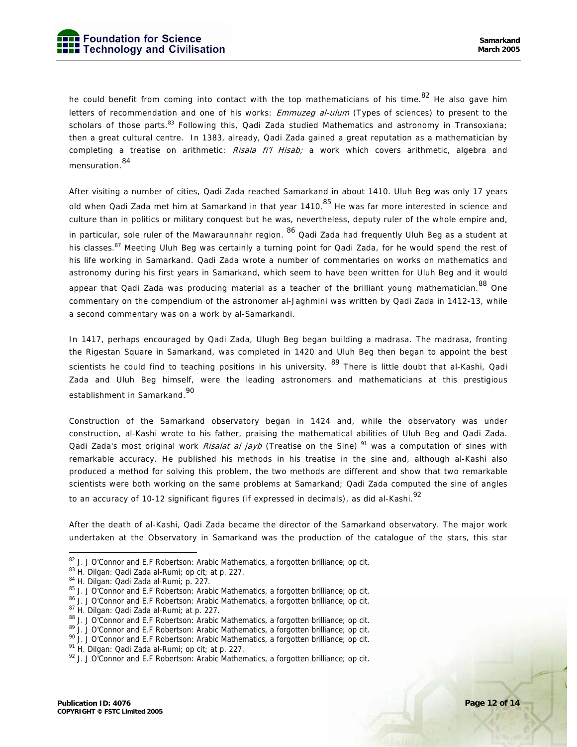he could benefit from coming into contact with the top mathematicians of his time.<sup>82</sup> He also gave him letters of recommendation and one of his works: *Emmuzeg al-ulum* (Types of sciences) to present to the scholars of those parts.<sup>83</sup> Following this, Qadi Zada studied Mathematics and astronomy in Transoxiana; then a great cultural centre. In 1383, already, Qadi Zada gained a great reputation as a mathematician by completing a treatise on arithmetic: Risala fi'l Hisab; a work which covers arithmetic, algebra and mensuration.<sup>84</sup>

After visiting a number of cities, Qadi Zada reached Samarkand in about 1410. Uluh Beg was only 17 years old when Qadi Zada met him at Samarkand in that year 1410.<sup>85</sup> He was far more interested in science and culture than in politics or military conquest but he was, nevertheless, deputy ruler of the whole empire and, in particular, sole ruler of the Mawaraunnahr region. <sup>86</sup> Qadi Zada had frequently Uluh Beg as a student at his classes.<sup>87</sup> Meeting Uluh Beg was certainly a turning point for Qadi Zada, for he would spend the rest of his life working in Samarkand. Qadi Zada wrote a number of commentaries on works on mathematics and astronomy during his first years in Samarkand, which seem to have been written for Uluh Beg and it would appear that Qadi Zada was producing material as a teacher of the brilliant young mathematician. <sup>88</sup> One commentary on the compendium of the astronomer al-Jaghmini was written by Qadi Zada in 1412-13, while a second commentary was on a work by al-Samarkandi.

In 1417, perhaps encouraged by Qadi Zada, Ulugh Beg began building a madrasa. The madrasa, fronting the Rigestan Square in Samarkand, was completed in 1420 and Uluh Beg then began to appoint the best scientists he could find to teaching positions in his university. <sup>89</sup> There is little doubt that al-Kashi, Qadi Zada and Uluh Beg himself, were the leading astronomers and mathematicians at this prestigious establishment in Samarkand.<sup>90</sup>

Construction of the Samarkand observatory began in 1424 and, while the observatory was under construction, al-Kashi wrote to his father, praising the mathematical abilities of Uluh Beg and Qadi Zada. Qadi Zada's most original work *Risalat al jayb* (Treatise on the Sine)<sup>91</sup> was a computation of sines with remarkable accuracy. He published his methods in his treatise in the sine and, although al-Kashi also produced a method for solving this problem, the two methods are different and show that two remarkable scientists were both working on the same problems at Samarkand; Qadi Zada computed the sine of angles to an accuracy of 10-12 significant figures (if expressed in decimals), as did al-Kashi.<sup>92</sup>

After the death of al-Kashi, Qadi Zada became the director of the Samarkand observatory. The major work undertaken at the Observatory in Samarkand was the production of the catalogue of the stars, this star

86 J. J O'Connor and E.F Robertson: Arabic Mathematics, a forgotten brilliance; op cit.<br><sup>87</sup> H. Dilgan: Qadi Zada al-Rumi; at p. 227.<br><sup>88</sup> J. J O'Connor and E.F Robertson: Arabic Mathematics, a forgotten brilliance; op cit

<sup>&</sup>lt;sup>82</sup> J. J O'Connor and E.F Robertson: Arabic Mathematics, a forgotten brilliance; op cit.<br><sup>83</sup> H. Dilgan: Qadi Zada al-Rumi; op cit; at p. 227.

<sup>&</sup>lt;sup>83</sup> H. Dilgan: Qadi Zada al-Rumi; op cit; at p. 227.<br><sup>84</sup> H. Dilgan: Qadi Zada al-Rumi; p. 227.<br><sup>85</sup> J. J O'Connor and E.F Robertson: Arabic Mathematics, a forgotten brilliance; op cit.

<sup>&</sup>lt;sup>89</sup> J. J O'Connor and E.F Robertson: Arabic Mathematics, a forgotten brilliance; op cit.<br><sup>90</sup> J. J O'Connor and E.F Robertson: Arabic Mathematics, a forgotten brilliance; op cit.<br><sup>91</sup> H. Dilgan: Qadi Zada al-Rumi; op cit

 $92$  J. J O'Connor and E.F Robertson: Arabic Mathematics, a forgotten brilliance; op cit.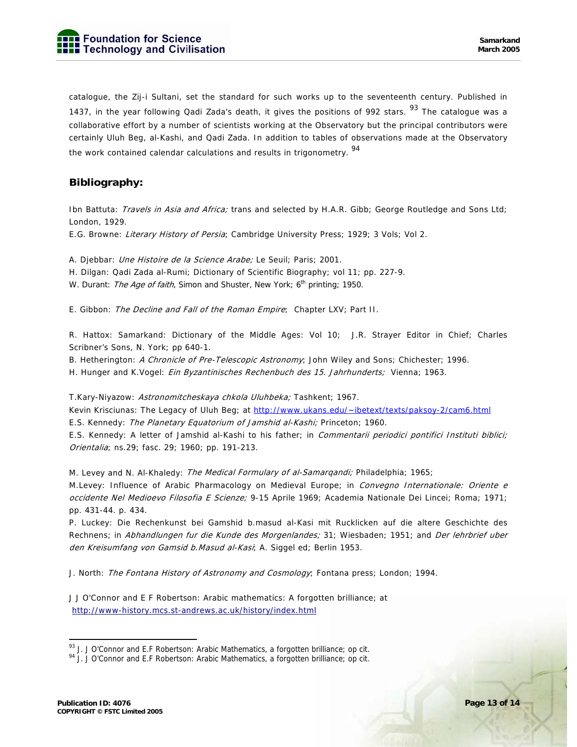catalogue, the Zij-i Sultani, set the standard for such works up to the seventeenth century. Published in 1437, in the year following Qadi Zada's death, it gives the positions of 992 stars. <sup>93</sup> The cataloque was a collaborative effort by a number of scientists working at the Observatory but the principal contributors were certainly Uluh Beg, al-Kashi, and Qadi Zada. In addition to tables of observations made at the Observatory the work contained calendar calculations and results in trigonometry.<sup>94</sup>

### **Bibliography:**

Ibn Battuta: Travels in Asia and Africa; trans and selected by H.A.R. Gibb; George Routledge and Sons Ltd; London, 1929.

E.G. Browne: Literary History of Persia; Cambridge University Press; 1929; 3 Vols; Vol 2.

A. Djebbar: Une Histoire de la Science Arabe; Le Seuil; Paris; 2001.

H. Dilgan: Qadi Zada al-Rumi; Dictionary of Scientific Biography; vol 11; pp. 227-9.

W. Durant: The Age of faith, Simon and Shuster, New York; 6<sup>th</sup> printing; 1950.

E. Gibbon: The Decline and Fall of the Roman Empire; Chapter LXV; Part II.

R. Hattox: Samarkand: Dictionary of the Middle Ages: Vol 10; J.R. Strayer Editor in Chief; Charles Scribner's Sons, N. York; pp 640-1.

B. Hetherington: A Chronicle of Pre-Telescopic Astronomy; John Wiley and Sons; Chichester; 1996.

H. Hunger and K.Vogel: Ein Byzantinisches Rechenbuch des 15. Jahrhunderts; Vienna; 1963.

T.Kary-Niyazow: Astronomitcheskaya chkola Uluhbeka; Tashkent; 1967.

Kevin Krisciunas: The Legacy of Uluh Beg; at http://www.ukans.edu/~ibetext/texts/paksoy-2/cam6.html

E.S. Kennedy: The Planetary Equatorium of Jamshid al-Kashi; Princeton; 1960.

E.S. Kennedy: A letter of Jamshid al-Kashi to his father; in Commentarii periodici pontifici Instituti biblici; Orientalia; ns.29; fasc. 29; 1960; pp. 191-213.

M. Levey and N. Al-Khaledy: The Medical Formulary of al-Samargandi; Philadelphia; 1965;

M.Levey: Influence of Arabic Pharmacology on Medieval Europe; in *Convegno Internationale: Oriente e* occidente Nel Medioevo Filosofia E Scienze; 9-15 Aprile 1969; Academia Nationale Dei Lincei; Roma; 1971; pp. 431-44. p. 434.

P. Luckey: Die Rechenkunst bei Gamshid b.masud al-Kasi mit Rucklicken auf die altere Geschichte des Rechnens; in Abhandlungen fur die Kunde des Morgenlandes; 31; Wiesbaden; 1951; and Der lehrbrief uber den Kreisumfang von Gamsid b.Masud al-Kasi; A. Siggel ed; Berlin 1953.

J. North: The Fontana History of Astronomy and Cosmology; Fontana press; London; 1994.

J J O'Connor and E F Robertson: Arabic mathematics: A forgotten brilliance; at http://www-history.mcs.st-andrews.ac.uk/history/index.html

<sup>&</sup>lt;sup>93</sup> J. J O'Connor and E.F Robertson: Arabic Mathematics, a forgotten brilliance; op cit.<br><sup>94</sup> J. J O'Connor and E.F Robertson: Arabic Mathematics, a forgotten brilliance; op cit.